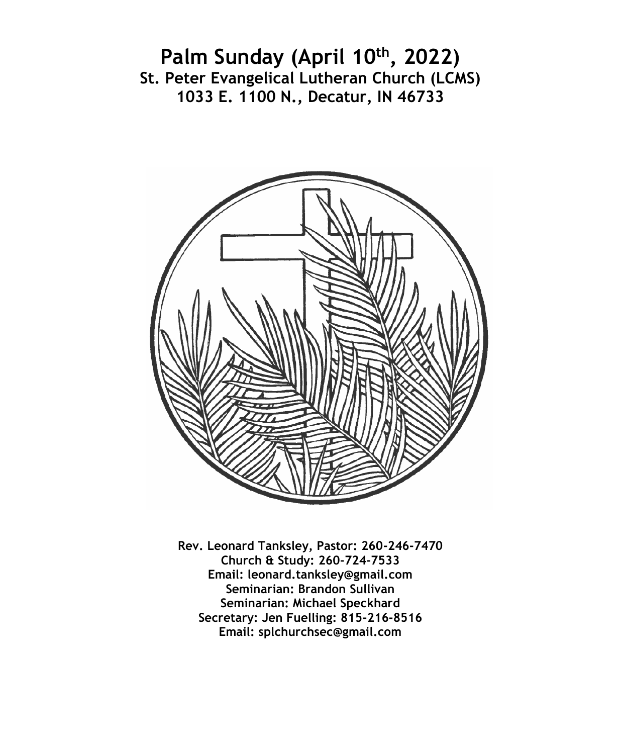# **Palm Sunday (April 10th , 2022) St. Peter Evangelical Lutheran Church (LCMS) 1033 E. 1100 N., Decatur, IN 46733**



**Rev. Leonard Tanksley, Pastor: 260-246-7470 Church & Study: 260-724-7533 Email: leonard.tanksley@gmail.com Seminarian: Brandon Sullivan Seminarian: Michael Speckhard Secretary: Jen Fuelling: 815-216-8516 Email: splchurchsec@gmail.com**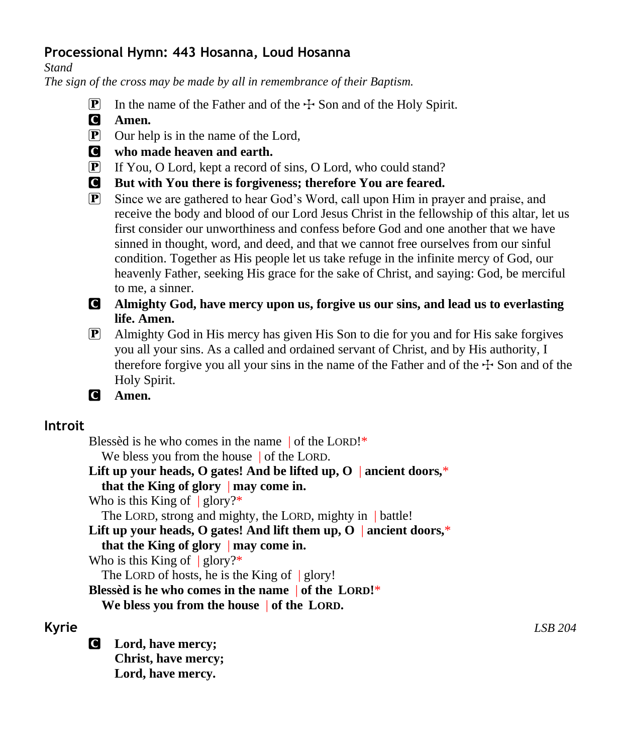## **Processional Hymn: 443 Hosanna, Loud Hosanna**

*Stand*

*The sign of the cross may be made by all in remembrance of their Baptism.*

- **P** In the name of the Father and of the  $\pm$  Son and of the Holy Spirit.
- C **Amen.**
- P Our help is in the name of the Lord,
- C **who made heaven and earth.**
- P If You, O Lord, kept a record of sins, O Lord, who could stand?
- C **But with You there is forgiveness; therefore You are feared.**
- P Since we are gathered to hear God's Word, call upon Him in prayer and praise, and receive the body and blood of our Lord Jesus Christ in the fellowship of this altar, let us first consider our unworthiness and confess before God and one another that we have sinned in thought, word, and deed, and that we cannot free ourselves from our sinful condition. Together as His people let us take refuge in the infinite mercy of God, our heavenly Father, seeking His grace for the sake of Christ, and saying: God, be merciful to me, a sinner.
- C **Almighty God, have mercy upon us, forgive us our sins, and lead us to everlasting life. Amen.**
- P Almighty God in His mercy has given His Son to die for you and for His sake forgives you all your sins. As a called and ordained servant of Christ, and by His authority, I therefore forgive you all your sins in the name of the Father and of the  $\pm$  Son and of the Holy Spirit.
- C **Amen.**

## **Introit**

Blessèd is he who comes in the name of the LORD!\*

We bless you from the house of the LORD.

**Lift up your heads, O gates! And be lifted up, O** | **ancient doors,**\* **that the King of glory** | **may come in.**

Who is this King of  $|$  glory?\*

The LORD, strong and mighty, the LORD, mighty in | battle!

**Lift up your heads, O gates! And lift them up, O** | **ancient doors,**\*

#### **that the King of glory** | **may come in.**

Who is this King of  $|$  glory?\*

The LORD of hosts, he is the King of  $|$  glory!

**Blessèd is he who comes in the name** | **of the LORD!**\*

**We bless you from the house** | **of the LORD.**

C **Lord, have mercy; Christ, have mercy; Lord, have mercy.**

**Kyrie** *LSB 204*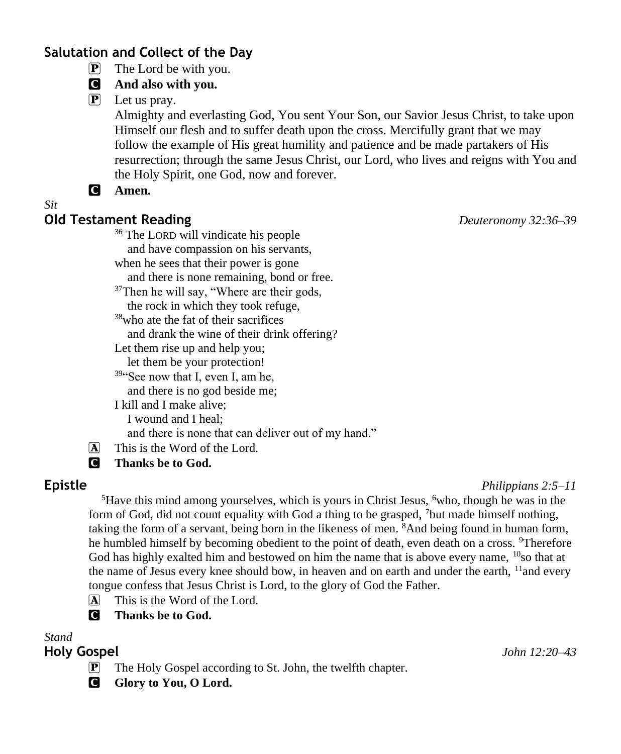## **Salutation and Collect of the Day**

 $\boxed{\mathbf{P}}$  The Lord be with you.

#### C **And also with you.**

P Let us pray.

Almighty and everlasting God, You sent Your Son, our Savior Jesus Christ, to take upon Himself our flesh and to suffer death upon the cross. Mercifully grant that we may follow the example of His great humility and patience and be made partakers of His resurrection; through the same Jesus Christ, our Lord, who lives and reigns with You and the Holy Spirit, one God, now and forever.

#### C **Amen.**

#### *Sit*

#### **Old Testament Reading** *Deuteronomy 32:36–39*

- <sup>36</sup> The LORD will vindicate his people
	- and have compassion on his servants,
- when he sees that their power is gone
- and there is none remaining, bond or free.
- <sup>37</sup>Then he will say, "Where are their gods,
	- the rock in which they took refuge,
- <sup>38</sup>who ate the fat of their sacrifices
- and drank the wine of their drink offering?
- Let them rise up and help you;
	- let them be your protection!
- <sup>394</sup>See now that I, even I, am he,
	- and there is no god beside me;
- I kill and I make alive;
	- I wound and I heal;
	- and there is none that can deliver out of my hand."
- A This is the Word of the Lord.
- C **Thanks be to God.**

#### **Epistle** *Philippians 2:5–11*

 $<sup>5</sup>$ Have this mind among yourselves, which is yours in Christ Jesus,  $<sup>6</sup>$ who, though he was in the</sup></sup> form of God, did not count equality with God a thing to be grasped,  $\frac{7}{1}$  but made himself nothing, taking the form of a servant, being born in the likeness of men. <sup>8</sup>And being found in human form, he humbled himself by becoming obedient to the point of death, even death on a cross. Therefore God has highly exalted him and bestowed on him the name that is above every name,  $10<sub>so</sub>$  that at the name of Jesus every knee should bow, in heaven and on earth and under the earth, <sup>11</sup> and every tongue confess that Jesus Christ is Lord, to the glory of God the Father.

- A This is the Word of the Lord.
- **C** Thanks be to God.

#### *Stand*

- $\mathbf{P}$  The Holy Gospel according to St. John, the twelfth chapter.
- **G** Glory to You, O Lord.

**Holy Gospel** *John 12:20–43*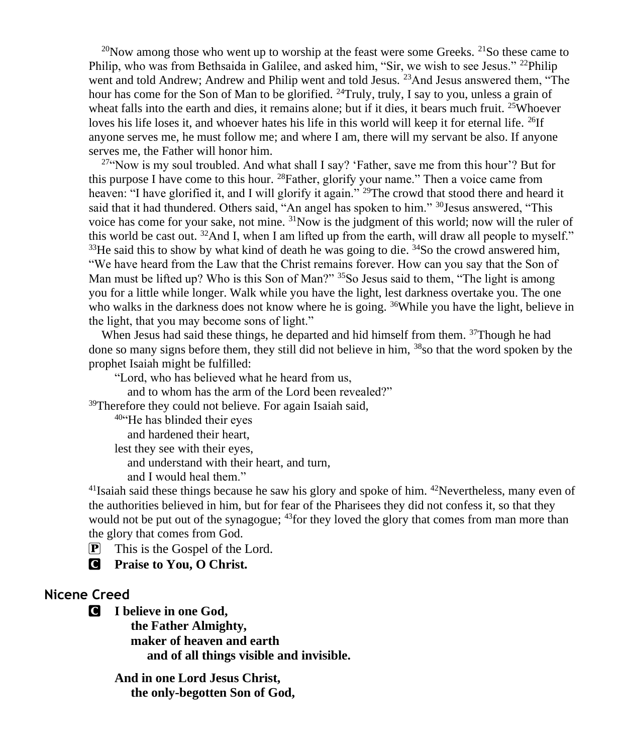<sup>20</sup>Now among those who went up to worship at the feast were some Greeks. <sup>21</sup>So these came to Philip, who was from Bethsaida in Galilee, and asked him, "Sir, we wish to see Jesus." <sup>22</sup>Philip went and told Andrew; Andrew and Philip went and told Jesus. <sup>23</sup>And Jesus answered them, "The hour has come for the Son of Man to be glorified. <sup>24</sup>Truly, truly, I say to you, unless a grain of wheat falls into the earth and dies, it remains alone; but if it dies, it bears much fruit.  $25$ Whoever loves his life loses it, and whoever hates his life in this world will keep it for eternal life. <sup>26</sup>If anyone serves me, he must follow me; and where I am, there will my servant be also. If anyone serves me, the Father will honor him.

 $27$ "Now is my soul troubled. And what shall I say? 'Father, save me from this hour'? But for this purpose I have come to this hour. <sup>28</sup>Father, glorify your name." Then a voice came from heaven: "I have glorified it, and I will glorify it again." <sup>29</sup>The crowd that stood there and heard it said that it had thundered. Others said, "An angel has spoken to him." <sup>30</sup>Jesus answered, "This voice has come for your sake, not mine.  $3^{1}$ Now is the judgment of this world; now will the ruler of this world be cast out.  $32$ And I, when I am lifted up from the earth, will draw all people to myself."  $33$ He said this to show by what kind of death he was going to die.  $34$ So the crowd answered him, "We have heard from the Law that the Christ remains forever. How can you say that the Son of Man must be lifted up? Who is this Son of Man?" <sup>35</sup>So Jesus said to them, "The light is among you for a little while longer. Walk while you have the light, lest darkness overtake you. The one who walks in the darkness does not know where he is going.  $36$ While you have the light, believe in the light, that you may become sons of light."

When Jesus had said these things, he departed and hid himself from them. <sup>37</sup>Though he had done so many signs before them, they still did not believe in him, <sup>38</sup>so that the word spoken by the prophet Isaiah might be fulfilled:

"Lord, who has believed what he heard from us,

and to whom has the arm of the Lord been revealed?"

<sup>39</sup>Therefore they could not believe. For again Isaiah said,

<sup>40</sup>"He has blinded their eyes

and hardened their heart,

lest they see with their eyes,

and understand with their heart, and turn,

and I would heal them."

<sup>41</sup>Isaiah said these things because he saw his glory and spoke of him.  $42$ Nevertheless, many even of the authorities believed in him, but for fear of the Pharisees they did not confess it, so that they would not be put out of the synagogue; <sup>43</sup> for they loved the glory that comes from man more than the glory that comes from God.

 $\mathbf{P}$  This is the Gospel of the Lord.

C **Praise to You, O Christ.**

#### **Nicene Creed**

C **I believe in one God,**

 **the Father Almighty, maker of heaven and earth and of all things visible and invisible.**

**And in one Lord Jesus Christ, the only-begotten Son of God,**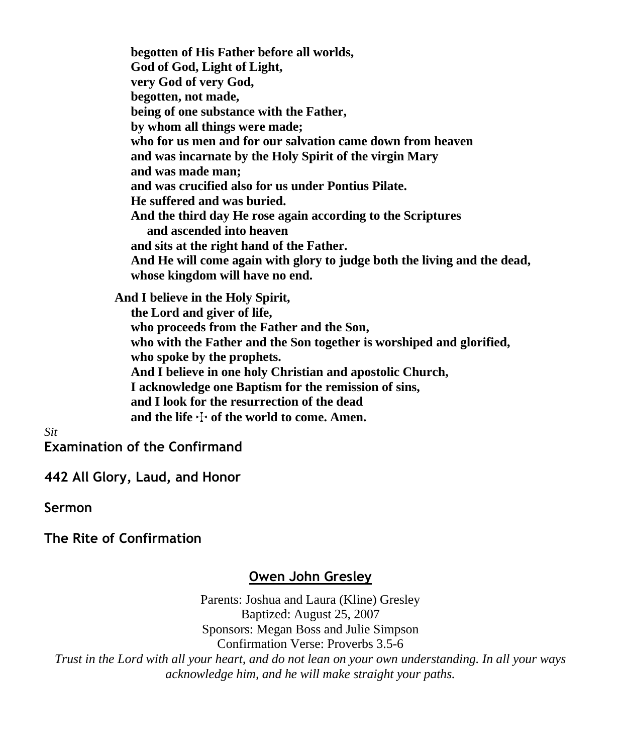**begotten of His Father before all worlds, God of God, Light of Light, very God of very God, begotten, not made, being of one substance with the Father, by whom all things were made; who for us men and for our salvation came down from heaven and was incarnate by the Holy Spirit of the virgin Mary and was made man; and was crucified also for us under Pontius Pilate. He suffered and was buried. And the third day He rose again according to the Scriptures and ascended into heaven and sits at the right hand of the Father. And He will come again with glory to judge both the living and the dead, whose kingdom will have no end. And I believe in the Holy Spirit,**

 **the Lord and giver of life, who proceeds from the Father and the Son, who with the Father and the Son together is worshiped and glorified, who spoke by the prophets. And I believe in one holy Christian and apostolic Church, I acknowledge one Baptism for the remission of sins, and I look for the resurrection of the dead** and the life  $\div$  of the world to come. Amen.

*Sit*

**Examination of the Confirmand**

**442 All Glory, Laud, and Honor**

**Sermon**

**The Rite of Confirmation**

## **Owen John Gresley**

Parents: Joshua and Laura (Kline) Gresley Baptized: August 25, 2007 Sponsors: Megan Boss and Julie Simpson Confirmation Verse: Proverbs 3.5-6 *Trust in the Lord with all your heart, and do not lean on your own understanding. In all your ways acknowledge him, and he will make straight your paths.*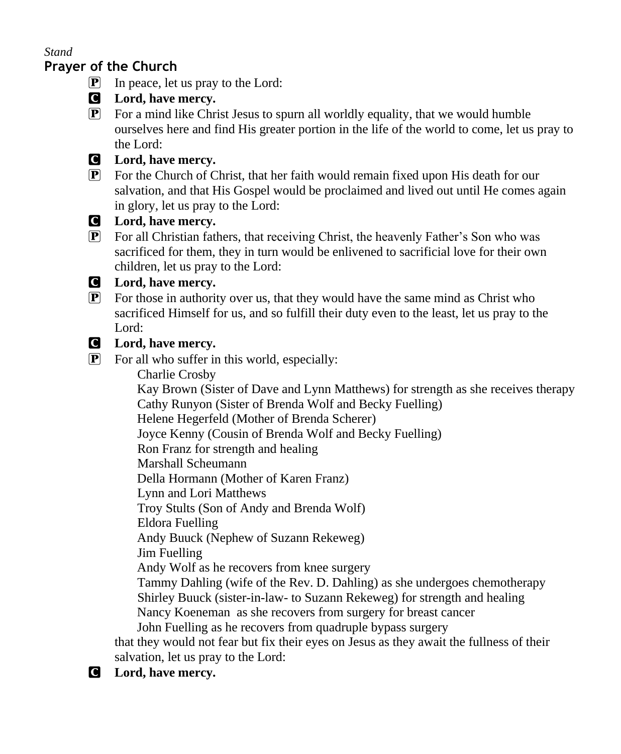#### *Stand*

## **Prayer of the Church**

- $\overline{P}$  In peace, let us pray to the Lord:
- C **Lord, have mercy.**
- $\boxed{\mathbf{P}}$  For a mind like Christ Jesus to spurn all worldly equality, that we would humble ourselves here and find His greater portion in the life of the world to come, let us pray to the Lord:

## C **Lord, have mercy.**

P For the Church of Christ, that her faith would remain fixed upon His death for our salvation, and that His Gospel would be proclaimed and lived out until He comes again in glory, let us pray to the Lord:

## C **Lord, have mercy.**

P For all Christian fathers, that receiving Christ, the heavenly Father's Son who was sacrificed for them, they in turn would be enlivened to sacrificial love for their own children, let us pray to the Lord:

#### C **Lord, have mercy.**

 $\mathbf{P}$  For those in authority over us, that they would have the same mind as Christ who sacrificed Himself for us, and so fulfill their duty even to the least, let us pray to the Lord:

#### C **Lord, have mercy.**

- $\left[ \mathbf{P} \right]$  For all who suffer in this world, especially:
	- Charlie Crosby

 Kay Brown (Sister of Dave and Lynn Matthews) for strength as she receives therapy Cathy Runyon (Sister of Brenda Wolf and Becky Fuelling)

Helene Hegerfeld (Mother of Brenda Scherer)

Joyce Kenny (Cousin of Brenda Wolf and Becky Fuelling)

Ron Franz for strength and healing

Marshall Scheumann

Della Hormann (Mother of Karen Franz)

Lynn and Lori Matthews

Troy Stults (Son of Andy and Brenda Wolf)

Eldora Fuelling

Andy Buuck (Nephew of Suzann Rekeweg)

Jim Fuelling

Andy Wolf as he recovers from knee surgery

 Tammy Dahling (wife of the Rev. D. Dahling) as she undergoes chemotherapy Shirley Buuck (sister-in-law- to Suzann Rekeweg) for strength and healing

Nancy Koeneman as she recovers from surgery for breast cancer

John Fuelling as he recovers from quadruple bypass surgery

that they would not fear but fix their eyes on Jesus as they await the fullness of their salvation, let us pray to the Lord:

C **Lord, have mercy.**

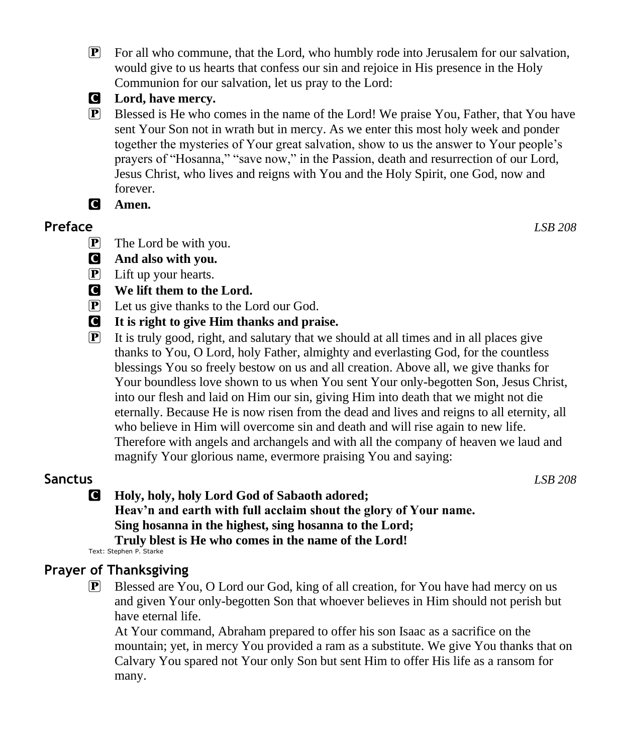P For all who commune, that the Lord, who humbly rode into Jerusalem for our salvation, would give to us hearts that confess our sin and rejoice in His presence in the Holy Communion for our salvation, let us pray to the Lord:



- P Blessed is He who comes in the name of the Lord! We praise You, Father, that You have sent Your Son not in wrath but in mercy. As we enter this most holy week and ponder together the mysteries of Your great salvation, show to us the answer to Your people's prayers of "Hosanna," "save now," in the Passion, death and resurrection of our Lord, Jesus Christ, who lives and reigns with You and the Holy Spirit, one God, now and forever.
- C **Amen.**

#### **Preface** *LSB 208*

- P The Lord be with you.
- C **And also with you.**
- $\boxed{\mathbf{P}}$  Lift up your hearts.
- C **We lift them to the Lord.**
- P Let us give thanks to the Lord our God.
- C **It is right to give Him thanks and praise.**
- $\mathbf{P}$  It is truly good, right, and salutary that we should at all times and in all places give thanks to You, O Lord, holy Father, almighty and everlasting God, for the countless blessings You so freely bestow on us and all creation. Above all, we give thanks for Your boundless love shown to us when You sent Your only-begotten Son, Jesus Christ, into our flesh and laid on Him our sin, giving Him into death that we might not die eternally. Because He is now risen from the dead and lives and reigns to all eternity, all who believe in Him will overcome sin and death and will rise again to new life. Therefore with angels and archangels and with all the company of heaven we laud and magnify Your glorious name, evermore praising You and saying:

## **Sanctus** *LSB 208*

C **Holy, holy, holy Lord God of Sabaoth adored; Heav'n and earth with full acclaim shout the glory of Your name. Sing hosanna in the highest, sing hosanna to the Lord; Truly blest is He who comes in the name of the Lord!**

Text: Stephen P. Starke

## **Prayer of Thanksgiving**

P Blessed are You, O Lord our God, king of all creation, for You have had mercy on us and given Your only-begotten Son that whoever believes in Him should not perish but have eternal life.

At Your command, Abraham prepared to offer his son Isaac as a sacrifice on the mountain; yet, in mercy You provided a ram as a substitute. We give You thanks that on Calvary You spared not Your only Son but sent Him to offer His life as a ransom for many.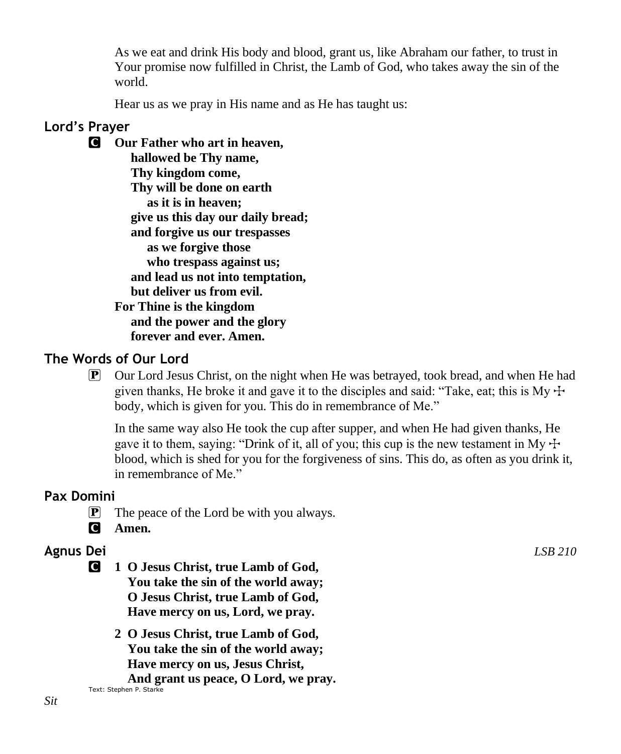As we eat and drink His body and blood, grant us, like Abraham our father, to trust in Your promise now fulfilled in Christ, the Lamb of God, who takes away the sin of the world.

Hear us as we pray in His name and as He has taught us:

## **Lord's Prayer**

C **Our Father who art in heaven, hallowed be Thy name, Thy kingdom come, Thy will be done on earth as it is in heaven; give us this day our daily bread; and forgive us our trespasses as we forgive those who trespass against us; and lead us not into temptation, but deliver us from evil. For Thine is the kingdom and the power and the glory forever and ever. Amen.**

#### **The Words of Our Lord**

 $\boxed{\mathbf{P}}$  Our Lord Jesus Christ, on the night when He was betrayed, took bread, and when He had given thanks, He broke it and gave it to the disciples and said: "Take, eat; this is My  $\pm$ body, which is given for you. This do in remembrance of Me."

In the same way also He took the cup after supper, and when He had given thanks, He gave it to them, saying: "Drink of it, all of you; this cup is the new testament in My  $\pm$ blood, which is shed for you for the forgiveness of sins. This do, as often as you drink it, in remembrance of Me."

#### **Pax Domini**

- P The peace of the Lord be with you always.
- C **Amen.**

## **Agnus Dei** *LSB 210*

- C **1 O Jesus Christ, true Lamb of God, You take the sin of the world away; O Jesus Christ, true Lamb of God, Have mercy on us, Lord, we pray.**
- **2 O Jesus Christ, true Lamb of God, You take the sin of the world away; Have mercy on us, Jesus Christ, And grant us peace, O Lord, we pray.** Text: Stephen P. Starke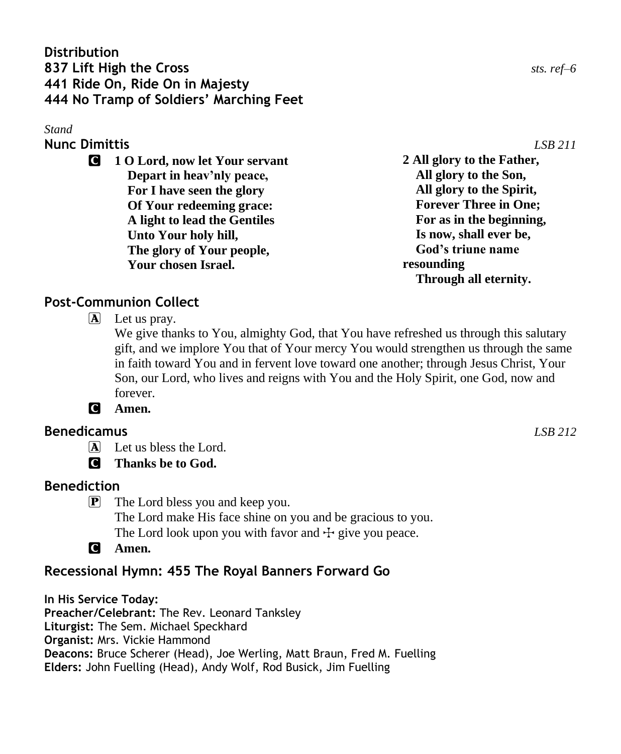#### *Stand*

**Nunc Dimittis** *LSB 211*

C **1 O Lord, now let Your servant Depart in heav'nly peace, For I have seen the glory Of Your redeeming grace: A light to lead the Gentiles Unto Your holy hill, The glory of Your people, Your chosen Israel.**

**2 All glory to the Father, All glory to the Son, All glory to the Spirit, Forever Three in One; For as in the beginning, Is now, shall ever be, God's triune name resounding Through all eternity.**

#### **Post-Communion Collect**

A Let us pray.

We give thanks to You, almighty God, that You have refreshed us through this salutary gift, and we implore You that of Your mercy You would strengthen us through the same in faith toward You and in fervent love toward one another; through Jesus Christ, Your Son, our Lord, who lives and reigns with You and the Holy Spirit, one God, now and forever.

C **Amen.**

#### **Benedicamus** *LSB 212*

A Let us bless the Lord.

C **Thanks be to God.**

#### **Benediction**

- P The Lord bless you and keep you. The Lord make His face shine on you and be gracious to you. The Lord look upon you with favor and  $\pm$  give you peace.
- C **Amen.**

## **Recessional Hymn: 455 The Royal Banners Forward Go**

**In His Service Today: Preacher/Celebrant:** The Rev. Leonard Tanksley **Liturgist:** The Sem. Michael Speckhard **Organist:** Mrs. Vickie Hammond **Deacons:** Bruce Scherer (Head), Joe Werling, Matt Braun, Fred M. Fuelling **Elders:** John Fuelling (Head), Andy Wolf, Rod Busick, Jim Fuelling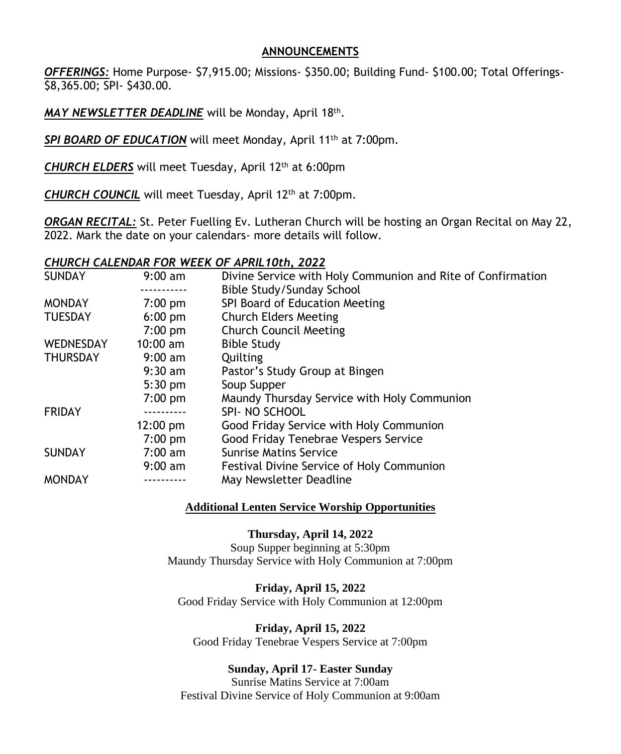#### **ANNOUNCEMENTS**

*OFFERINGS:* Home Purpose- \$7,915.00; Missions- \$350.00; Building Fund- \$100.00; Total Offerings- \$8,365.00; SPI- \$430.00.

*MAY NEWSLETTER DEADLINE* will be Monday, April 18th .

**SPI BOARD OF EDUCATION** will meet Monday, April 11<sup>th</sup> at 7:00pm.

*CHURCH ELDERS* will meet Tuesday, April 12th at 6:00pm

**CHURCH COUNCIL** will meet Tuesday, April 12<sup>th</sup> at 7:00pm.

*ORGAN RECITAL:* St. Peter Fuelling Ev. Lutheran Church will be hosting an Organ Recital on May 22, 2022. Mark the date on your calendars- more details will follow.

#### *CHURCH CALENDAR FOR WEEK OF APRIL10th, 2022*

| <b>SUNDAY</b>   | $9:00 \text{ am}$  | Divine Service with Holy Communion and Rite of Confirmation |
|-----------------|--------------------|-------------------------------------------------------------|
|                 |                    | Bible Study/Sunday School                                   |
| <b>MONDAY</b>   | $7:00$ pm          | SPI Board of Education Meeting                              |
| <b>TUESDAY</b>  | $6:00$ pm          | <b>Church Elders Meeting</b>                                |
|                 | $7:00 \text{ pm}$  | <b>Church Council Meeting</b>                               |
| WEDNESDAY       | $10:00 \text{ am}$ | <b>Bible Study</b>                                          |
| <b>THURSDAY</b> | $9:00 \text{ am}$  | Quilting                                                    |
|                 | $9:30$ am          | Pastor's Study Group at Bingen                              |
|                 | $5:30$ pm          | Soup Supper                                                 |
|                 | $7:00 \text{ pm}$  | Maundy Thursday Service with Holy Communion                 |
| <b>FRIDAY</b>   |                    | SPI- NO SCHOOL                                              |
|                 | $12:00 \text{ pm}$ | Good Friday Service with Holy Communion                     |
|                 | $7:00 \text{ pm}$  | Good Friday Tenebrae Vespers Service                        |
| <b>SUNDAY</b>   | $7:00 \text{ am}$  | <b>Sunrise Matins Service</b>                               |
|                 | $9:00 \text{ am}$  | <b>Festival Divine Service of Holy Communion</b>            |
| <b>MONDAY</b>   |                    | May Newsletter Deadline                                     |
|                 |                    |                                                             |

#### **Additional Lenten Service Worship Opportunities**

#### **Thursday, April 14, 2022**

Soup Supper beginning at 5:30pm Maundy Thursday Service with Holy Communion at 7:00pm

**Friday, April 15, 2022** Good Friday Service with Holy Communion at 12:00pm

**Friday, April 15, 2022** Good Friday Tenebrae Vespers Service at 7:00pm

#### **Sunday, April 17- Easter Sunday**

Sunrise Matins Service at 7:00am Festival Divine Service of Holy Communion at 9:00am